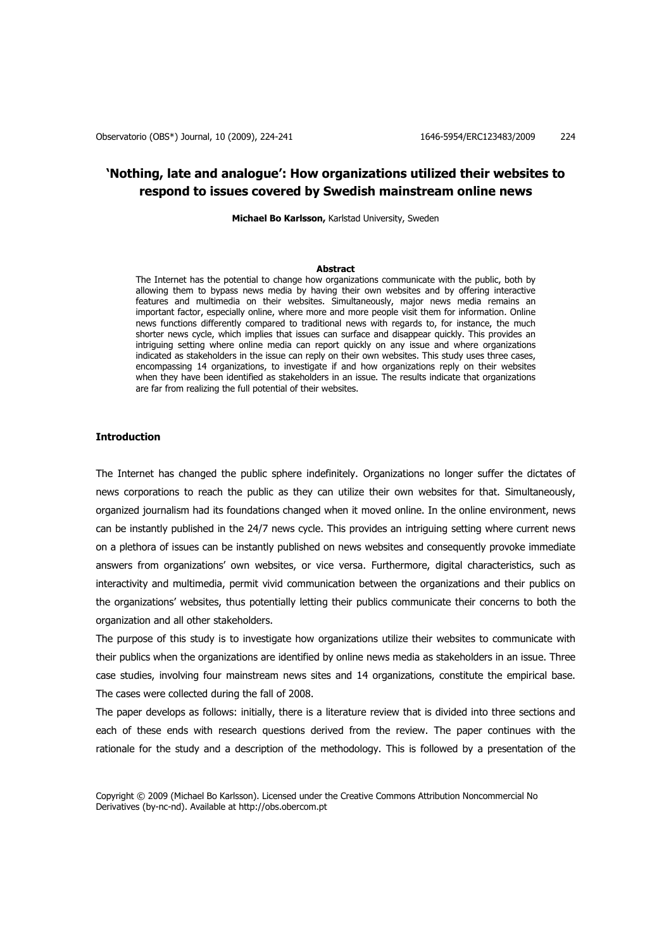# **'Nothing, late and analogue': How organizations utilized their websites to respond to issues covered by Swedish mainstream online news**

**Michael Bo Karlsson,** Karlstad University, Sweden

### **Abstract**

The Internet has the potential to change how organizations communicate with the public, both by allowing them to bypass news media by having their own websites and by offering interactive features and multimedia on their websites. Simultaneously, major news media remains an important factor, especially online, where more and more people visit them for information. Online news functions differently compared to traditional news with regards to, for instance, the much shorter news cycle, which implies that issues can surface and disappear quickly. This provides an intriguing setting where online media can report quickly on any issue and where organizations indicated as stakeholders in the issue can reply on their own websites. This study uses three cases, encompassing 14 organizations, to investigate if and how organizations reply on their websites when they have been identified as stakeholders in an issue. The results indicate that organizations are far from realizing the full potential of their websites.

# **Introduction**

The Internet has changed the public sphere indefinitely. Organizations no longer suffer the dictates of news corporations to reach the public as they can utilize their own websites for that. Simultaneously, organized journalism had its foundations changed when it moved online. In the online environment, news can be instantly published in the 24/7 news cycle. This provides an intriguing setting where current news on a plethora of issues can be instantly published on news websites and consequently provoke immediate answers from organizations' own websites, or vice versa. Furthermore, digital characteristics, such as interactivity and multimedia, permit vivid communication between the organizations and their publics on the organizations' websites, thus potentially letting their publics communicate their concerns to both the organization and all other stakeholders.

The purpose of this study is to investigate how organizations utilize their websites to communicate with their publics when the organizations are identified by online news media as stakeholders in an issue. Three case studies, involving four mainstream news sites and 14 organizations, constitute the empirical base. The cases were collected during the fall of 2008.

The paper develops as follows: initially, there is a literature review that is divided into three sections and each of these ends with research questions derived from the review. The paper continues with the rationale for the study and a description of the methodology. This is followed by a presentation of the

Copyright © 2009 (Michael Bo Karlsson). Licensed under the Creative Commons Attribution Noncommercial No Derivatives (by-nc-nd). Available at http://obs.obercom.pt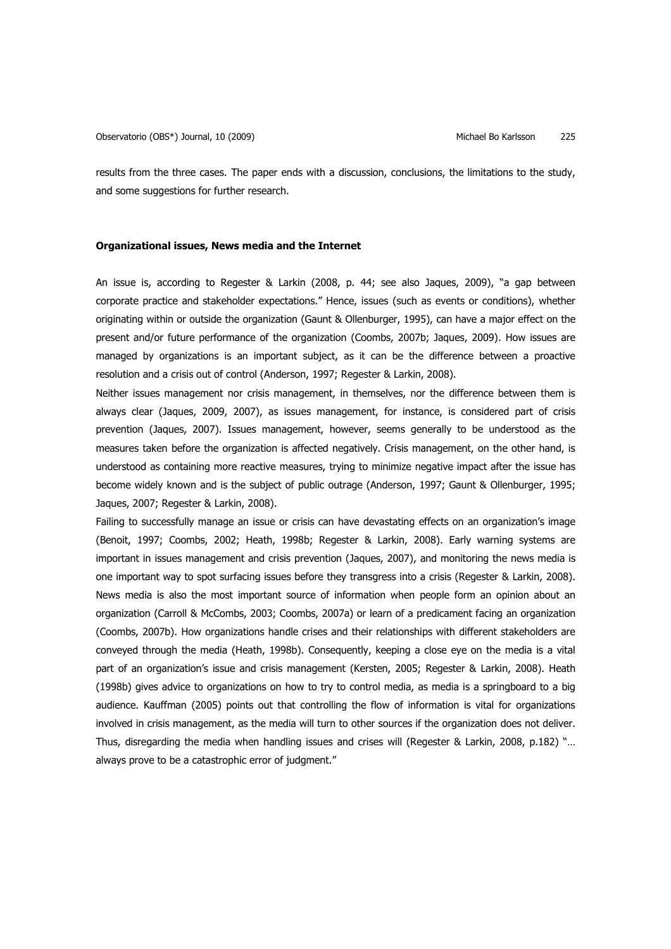results from the three cases. The paper ends with a discussion, conclusions, the limitations to the study, and some suggestions for further research.

### **Organizational issues, News media and the Internet**

An issue is, according to Regester & Larkin (2008, p. 44; see also Jaques, 2009), "a gap between corporate practice and stakeholder expectations." Hence, issues (such as events or conditions), whether originating within or outside the organization (Gaunt & Ollenburger, 1995), can have a major effect on the present and/or future performance of the organization (Coombs, 2007b; Jaques, 2009). How issues are managed by organizations is an important subject, as it can be the difference between a proactive resolution and a crisis out of control (Anderson, 1997; Regester & Larkin, 2008).

Neither issues management nor crisis management, in themselves, nor the difference between them is always clear (Jaques, 2009, 2007), as issues management, for instance, is considered part of crisis prevention (Jaques, 2007). Issues management, however, seems generally to be understood as the measures taken before the organization is affected negatively. Crisis management, on the other hand, is understood as containing more reactive measures, trying to minimize negative impact after the issue has become widely known and is the subject of public outrage (Anderson, 1997; Gaunt & Ollenburger, 1995; Jaques, 2007; Regester & Larkin, 2008).

Failing to successfully manage an issue or crisis can have devastating effects on an organization's image (Benoit, 1997; Coombs, 2002; Heath, 1998b; Regester & Larkin, 2008). Early warning systems are important in issues management and crisis prevention (Jaques, 2007), and monitoring the news media is one important way to spot surfacing issues before they transgress into a crisis (Regester & Larkin, 2008). News media is also the most important source of information when people form an opinion about an organization (Carroll & McCombs, 2003; Coombs, 2007a) or learn of a predicament facing an organization (Coombs, 2007b). How organizations handle crises and their relationships with different stakeholders are conveyed through the media (Heath, 1998b). Consequently, keeping a close eye on the media is a vital part of an organization's issue and crisis management (Kersten, 2005; Regester & Larkin, 2008). Heath (1998b) gives advice to organizations on how to try to control media, as media is a springboard to a big audience. Kauffman (2005) points out that controlling the flow of information is vital for organizations involved in crisis management, as the media will turn to other sources if the organization does not deliver. Thus, disregarding the media when handling issues and crises will (Regester & Larkin, 2008, p.182) "… always prove to be a catastrophic error of judgment."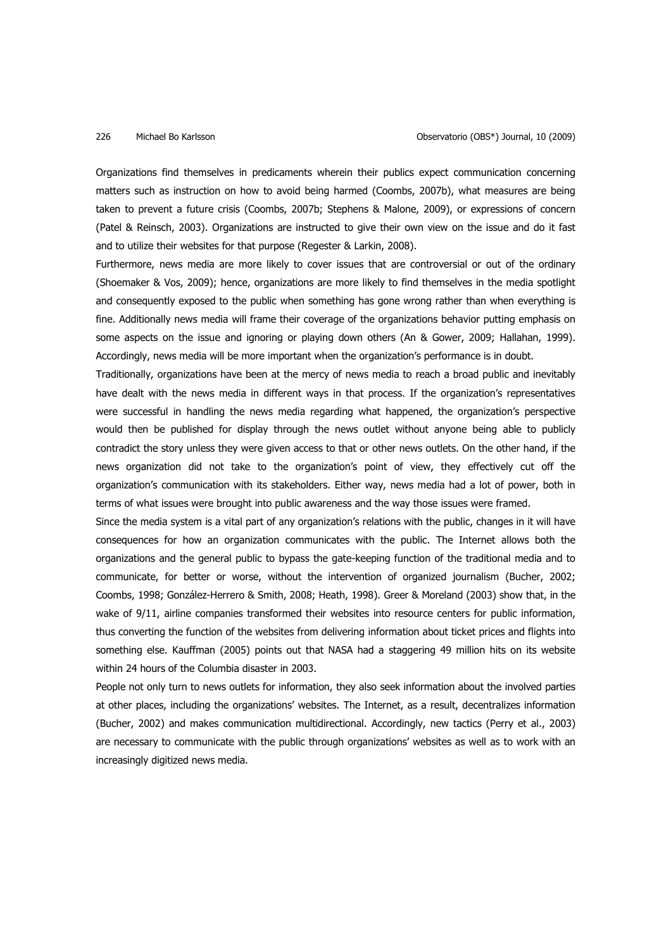Organizations find themselves in predicaments wherein their publics expect communication concerning matters such as instruction on how to avoid being harmed (Coombs, 2007b), what measures are being taken to prevent a future crisis (Coombs, 2007b; Stephens & Malone, 2009), or expressions of concern (Patel & Reinsch, 2003). Organizations are instructed to give their own view on the issue and do it fast and to utilize their websites for that purpose (Regester & Larkin, 2008).

Furthermore, news media are more likely to cover issues that are controversial or out of the ordinary (Shoemaker & Vos, 2009); hence, organizations are more likely to find themselves in the media spotlight and consequently exposed to the public when something has gone wrong rather than when everything is fine. Additionally news media will frame their coverage of the organizations behavior putting emphasis on some aspects on the issue and ignoring or playing down others (An & Gower, 2009; Hallahan, 1999). Accordingly, news media will be more important when the organization's performance is in doubt.

Traditionally, organizations have been at the mercy of news media to reach a broad public and inevitably have dealt with the news media in different wavs in that process. If the organization's representatives were successful in handling the news media regarding what happened, the organization's perspective would then be published for display through the news outlet without anyone being able to publicly contradict the story unless they were given access to that or other news outlets. On the other hand, if the news organization did not take to the organization's point of view, they effectively cut off the organization's communication with its stakeholders. Either way, news media had a lot of power, both in terms of what issues were brought into public awareness and the way those issues were framed.

Since the media system is a vital part of any organization's relations with the public, changes in it will have consequences for how an organization communicates with the public. The Internet allows both the organizations and the general public to bypass the gate-keeping function of the traditional media and to communicate, for better or worse, without the intervention of organized journalism (Bucher, 2002; Coombs, 1998; González-Herrero & Smith, 2008; Heath, 1998). Greer & Moreland (2003) show that, in the wake of 9/11, airline companies transformed their websites into resource centers for public information, thus converting the function of the websites from delivering information about ticket prices and flights into something else. Kauffman (2005) points out that NASA had a staggering 49 million hits on its website within 24 hours of the Columbia disaster in 2003.

People not only turn to news outlets for information, they also seek information about the involved parties at other places, including the organizations' websites. The Internet, as a result, decentralizes information (Bucher, 2002) and makes communication multidirectional. Accordingly, new tactics (Perry et al., 2003) are necessary to communicate with the public through organizations' websites as well as to work with an increasingly digitized news media.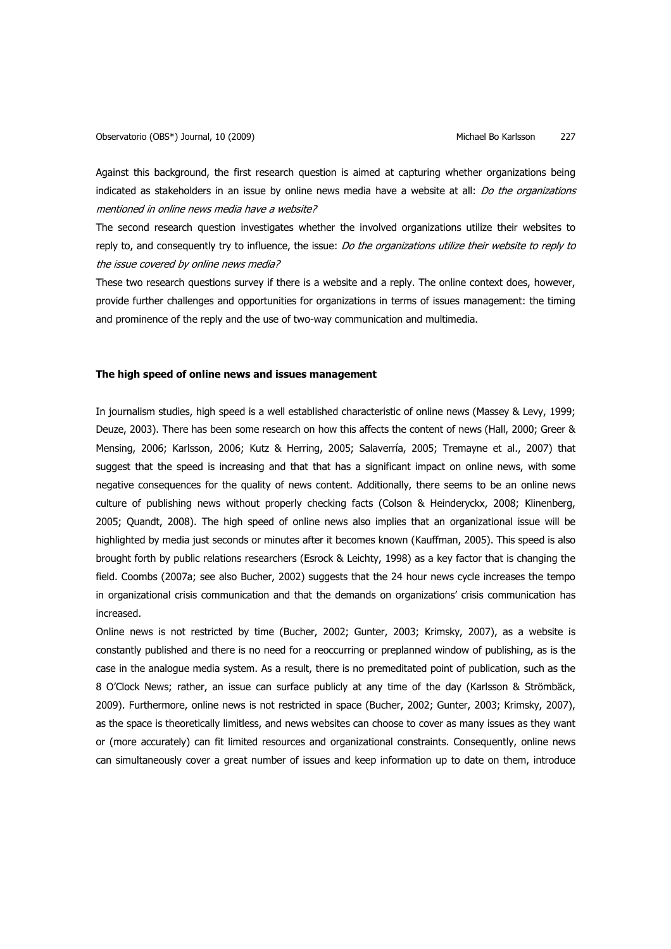Against this background, the first research question is aimed at capturing whether organizations being indicated as stakeholders in an issue by online news media have a website at all: Do the organizations mentioned in online news media have a website?

The second research question investigates whether the involved organizations utilize their websites to reply to, and consequently try to influence, the issue: Do the organizations utilize their website to reply to the issue covered by online news media?

These two research questions survey if there is a website and a reply. The online context does, however, provide further challenges and opportunities for organizations in terms of issues management: the timing and prominence of the reply and the use of two-way communication and multimedia.

# **The high speed of online news and issues management**

In journalism studies, high speed is a well established characteristic of online news (Massey & Levy, 1999; Deuze, 2003). There has been some research on how this affects the content of news (Hall, 2000; Greer & Mensing, 2006; Karlsson, 2006; Kutz & Herring, 2005; Salaverría, 2005; Tremayne et al., 2007) that suggest that the speed is increasing and that that has a significant impact on online news, with some negative consequences for the quality of news content. Additionally, there seems to be an online news culture of publishing news without properly checking facts (Colson & Heinderyckx, 2008; Klinenberg, 2005; Quandt, 2008). The high speed of online news also implies that an organizational issue will be highlighted by media just seconds or minutes after it becomes known (Kauffman, 2005). This speed is also brought forth by public relations researchers (Esrock & Leichty, 1998) as a key factor that is changing the field. Coombs (2007a; see also Bucher, 2002) suggests that the 24 hour news cycle increases the tempo in organizational crisis communication and that the demands on organizations' crisis communication has increased.

Online news is not restricted by time (Bucher, 2002; Gunter, 2003; Krimsky, 2007), as a website is constantly published and there is no need for a reoccurring or preplanned window of publishing, as is the case in the analogue media system. As a result, there is no premeditated point of publication, such as the 8 O'Clock News; rather, an issue can surface publicly at any time of the day (Karlsson & Strömbäck, 2009). Furthermore, online news is not restricted in space (Bucher, 2002; Gunter, 2003; Krimsky, 2007), as the space is theoretically limitless, and news websites can choose to cover as many issues as they want or (more accurately) can fit limited resources and organizational constraints. Consequently, online news can simultaneously cover a great number of issues and keep information up to date on them, introduce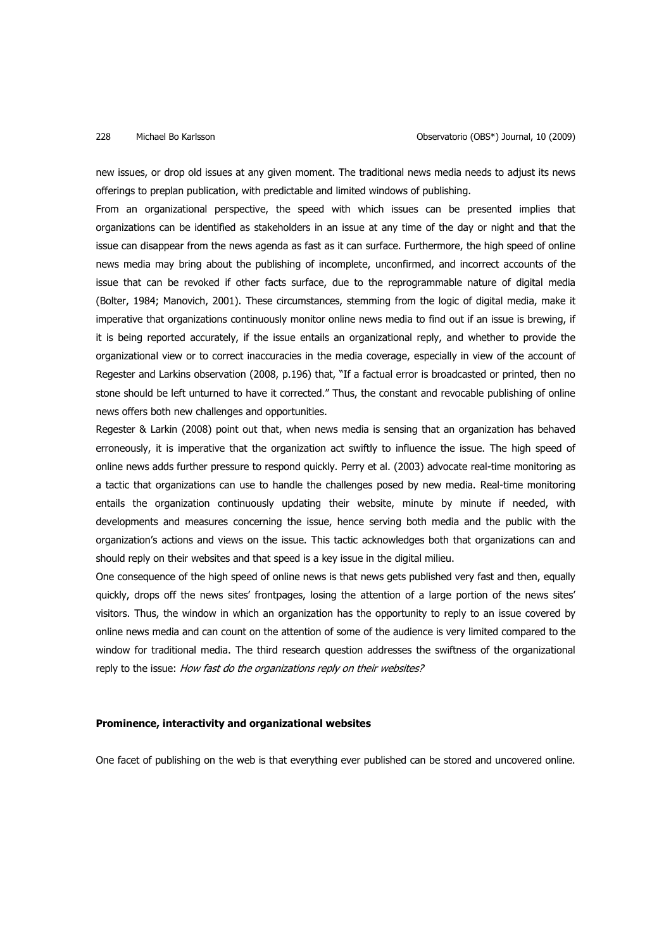new issues, or drop old issues at any given moment. The traditional news media needs to adjust its news offerings to preplan publication, with predictable and limited windows of publishing.

From an organizational perspective, the speed with which issues can be presented implies that organizations can be identified as stakeholders in an issue at any time of the day or night and that the issue can disappear from the news agenda as fast as it can surface. Furthermore, the high speed of online news media may bring about the publishing of incomplete, unconfirmed, and incorrect accounts of the issue that can be revoked if other facts surface, due to the reprogrammable nature of digital media (Bolter, 1984; Manovich, 2001). These circumstances, stemming from the logic of digital media, make it imperative that organizations continuously monitor online news media to find out if an issue is brewing, if it is being reported accurately, if the issue entails an organizational reply, and whether to provide the organizational view or to correct inaccuracies in the media coverage, especially in view of the account of Regester and Larkins observation (2008, p.196) that, "If a factual error is broadcasted or printed, then no stone should be left unturned to have it corrected." Thus, the constant and revocable publishing of online news offers both new challenges and opportunities.

Regester & Larkin (2008) point out that, when news media is sensing that an organization has behaved erroneously, it is imperative that the organization act swiftly to influence the issue. The high speed of online news adds further pressure to respond quickly. Perry et al. (2003) advocate real-time monitoring as a tactic that organizations can use to handle the challenges posed by new media. Real-time monitoring entails the organization continuously updating their website, minute by minute if needed, with developments and measures concerning the issue, hence serving both media and the public with the organization's actions and views on the issue. This tactic acknowledges both that organizations can and should reply on their websites and that speed is a key issue in the digital milieu.

One consequence of the high speed of online news is that news gets published very fast and then, equally quickly, drops off the news sites' frontpages, losing the attention of a large portion of the news sites' visitors. Thus, the window in which an organization has the opportunity to reply to an issue covered by online news media and can count on the attention of some of the audience is very limited compared to the window for traditional media. The third research question addresses the swiftness of the organizational reply to the issue: How fast do the organizations reply on their websites?

### **Prominence, interactivity and organizational websites**

One facet of publishing on the web is that everything ever published can be stored and uncovered online.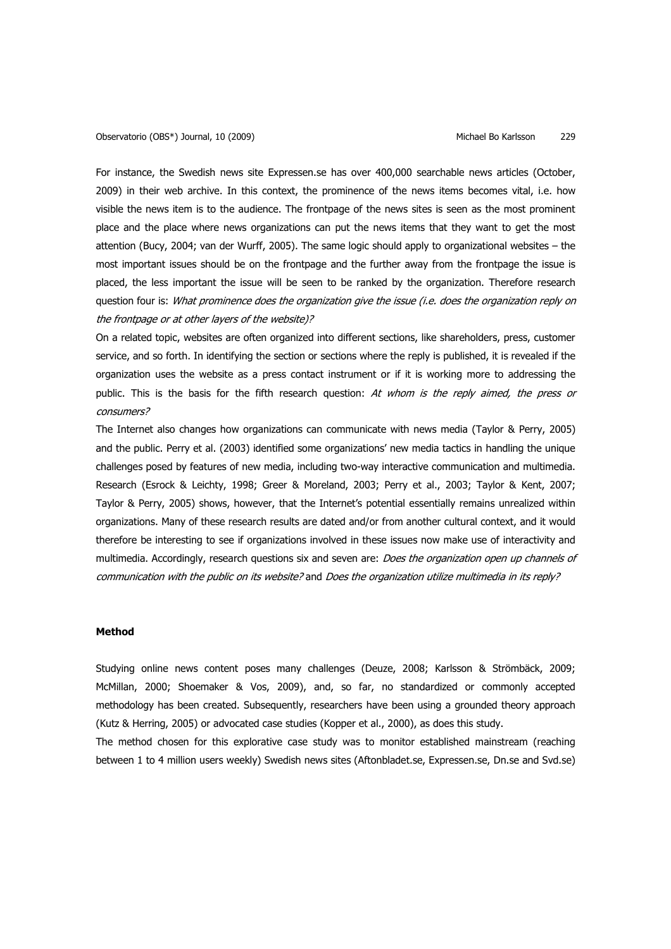For instance, the Swedish news site Expressen.se has over 400,000 searchable news articles (October, 2009) in their web archive. In this context, the prominence of the news items becomes vital, i.e. how visible the news item is to the audience. The frontpage of the news sites is seen as the most prominent place and the place where news organizations can put the news items that they want to get the most attention (Bucy, 2004; van der Wurff, 2005). The same logic should apply to organizational websites – the most important issues should be on the frontpage and the further away from the frontpage the issue is placed, the less important the issue will be seen to be ranked by the organization. Therefore research question four is: What prominence does the organization give the issue (i.e. does the organization reply on the frontpage or at other layers of the website)?

On a related topic, websites are often organized into different sections, like shareholders, press, customer service, and so forth. In identifying the section or sections where the reply is published, it is revealed if the organization uses the website as a press contact instrument or if it is working more to addressing the public. This is the basis for the fifth research question: At whom is the reply aimed, the press or consumers?

The Internet also changes how organizations can communicate with news media (Taylor & Perry, 2005) and the public. Perry et al. (2003) identified some organizations' new media tactics in handling the unique challenges posed by features of new media, including two-way interactive communication and multimedia. Research (Esrock & Leichty, 1998; Greer & Moreland, 2003; Perry et al., 2003; Taylor & Kent, 2007; Taylor & Perry, 2005) shows, however, that the Internet's potential essentially remains unrealized within organizations. Many of these research results are dated and/or from another cultural context, and it would therefore be interesting to see if organizations involved in these issues now make use of interactivity and multimedia. Accordingly, research questions six and seven are: Does the organization open up channels of communication with the public on its website? and Does the organization utilize multimedia in its reply?

### **Method**

Studying online news content poses many challenges (Deuze, 2008; Karlsson & Strömbäck, 2009; McMillan, 2000; Shoemaker & Vos, 2009), and, so far, no standardized or commonly accepted methodology has been created. Subsequently, researchers have been using a grounded theory approach (Kutz & Herring, 2005) or advocated case studies (Kopper et al., 2000), as does this study.

The method chosen for this explorative case study was to monitor established mainstream (reaching between 1 to 4 million users weekly) Swedish news sites (Aftonbladet.se, Expressen.se, Dn.se and Svd.se)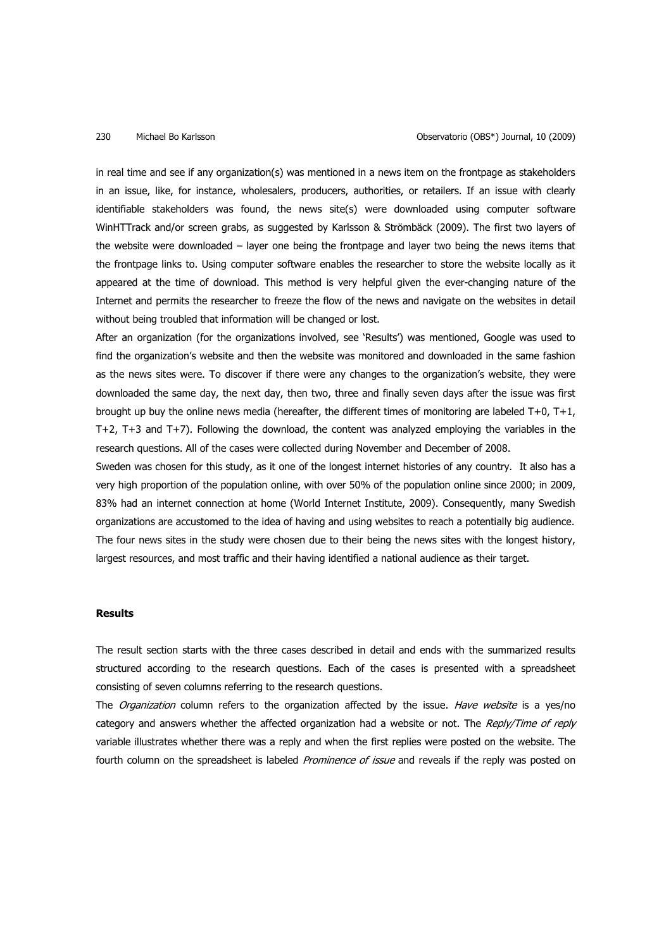in real time and see if any organization(s) was mentioned in a news item on the frontpage as stakeholders in an issue, like, for instance, wholesalers, producers, authorities, or retailers. If an issue with clearly identifiable stakeholders was found, the news site(s) were downloaded using computer software WinHTTrack and/or screen grabs, as suggested by Karlsson & Strömbäck (2009). The first two layers of the website were downloaded – layer one being the frontpage and layer two being the news items that the frontpage links to. Using computer software enables the researcher to store the website locally as it appeared at the time of download. This method is very helpful given the ever-changing nature of the Internet and permits the researcher to freeze the flow of the news and navigate on the websites in detail without being troubled that information will be changed or lost.

After an organization (for the organizations involved, see 'Results') was mentioned, Google was used to find the organization's website and then the website was monitored and downloaded in the same fashion as the news sites were. To discover if there were any changes to the organization's website, they were downloaded the same day, the next day, then two, three and finally seven days after the issue was first brought up buy the online news media (hereafter, the different times of monitoring are labeled T+0, T+1, T+2, T+3 and T+7). Following the download, the content was analyzed employing the variables in the research questions. All of the cases were collected during November and December of 2008.

Sweden was chosen for this study, as it one of the longest internet histories of any country. It also has a very high proportion of the population online, with over 50% of the population online since 2000; in 2009, 83% had an internet connection at home (World Internet Institute, 2009). Consequently, many Swedish organizations are accustomed to the idea of having and using websites to reach a potentially big audience. The four news sites in the study were chosen due to their being the news sites with the longest history, largest resources, and most traffic and their having identified a national audience as their target.

### **Results**

The result section starts with the three cases described in detail and ends with the summarized results structured according to the research questions. Each of the cases is presented with a spreadsheet consisting of seven columns referring to the research questions.

The *Organization* column refers to the organization affected by the issue. Have website is a yes/no category and answers whether the affected organization had a website or not. The Reply/Time of reply variable illustrates whether there was a reply and when the first replies were posted on the website. The fourth column on the spreadsheet is labeled Prominence of issue and reveals if the reply was posted on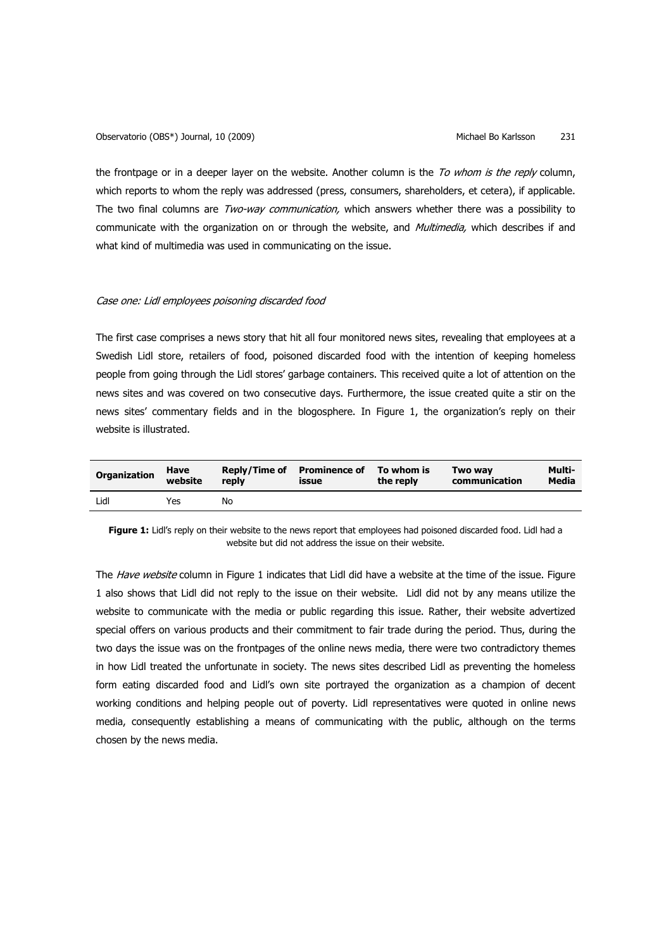the frontpage or in a deeper layer on the website. Another column is the To whom is the reply column, which reports to whom the reply was addressed (press, consumers, shareholders, et cetera), if applicable. The two final columns are *Two-way communication*, which answers whether there was a possibility to communicate with the organization on or through the website, and Multimedia, which describes if and what kind of multimedia was used in communicating on the issue.

# Case one: Lidl employees poisoning discarded food

The first case comprises a news story that hit all four monitored news sites, revealing that employees at a Swedish Lidl store, retailers of food, poisoned discarded food with the intention of keeping homeless people from going through the Lidl stores' garbage containers. This received quite a lot of attention on the news sites and was covered on two consecutive days. Furthermore, the issue created quite a stir on the news sites' commentary fields and in the blogosphere. In Figure 1, the organization's reply on their website is illustrated.

| <b>Organization</b> | Have<br>website | reply | Reply/Time of Prominence of To whom is<br><b>issue</b> | the reply | Two wav<br>communication | Multi-<br>Media |
|---------------------|-----------------|-------|--------------------------------------------------------|-----------|--------------------------|-----------------|
| Lidl                | Yes             | No    |                                                        |           |                          |                 |

**Figure 1:** Lidl's reply on their website to the news report that employees had poisoned discarded food. Lidl had a website but did not address the issue on their website.

The Have website column in Figure 1 indicates that Lidl did have a website at the time of the issue. Figure 1 also shows that Lidl did not reply to the issue on their website. Lidl did not by any means utilize the website to communicate with the media or public regarding this issue. Rather, their website advertized special offers on various products and their commitment to fair trade during the period. Thus, during the two days the issue was on the frontpages of the online news media, there were two contradictory themes in how Lidl treated the unfortunate in society. The news sites described Lidl as preventing the homeless form eating discarded food and Lidl's own site portrayed the organization as a champion of decent working conditions and helping people out of poverty. Lidl representatives were quoted in online news media, consequently establishing a means of communicating with the public, although on the terms chosen by the news media.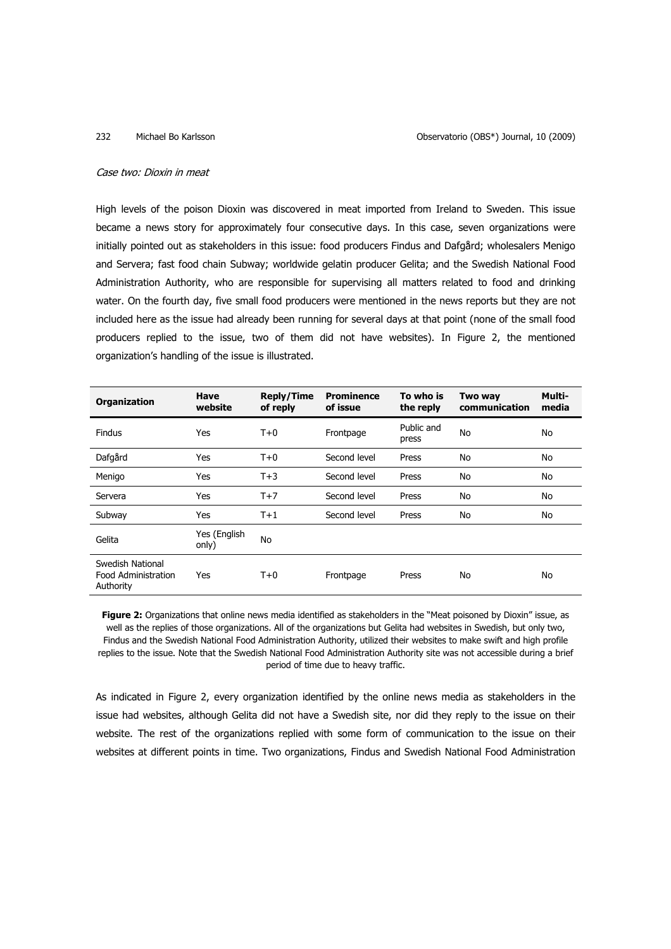### Case two: Dioxin in meat

High levels of the poison Dioxin was discovered in meat imported from Ireland to Sweden. This issue became a news story for approximately four consecutive days. In this case, seven organizations were initially pointed out as stakeholders in this issue: food producers Findus and Dafgård; wholesalers Menigo and Servera; fast food chain Subway; worldwide gelatin producer Gelita; and the Swedish National Food Administration Authority, who are responsible for supervising all matters related to food and drinking water. On the fourth day, five small food producers were mentioned in the news reports but they are not included here as the issue had already been running for several days at that point (none of the small food producers replied to the issue, two of them did not have websites). In Figure 2, the mentioned organization's handling of the issue is illustrated.

| Organization                                         | Have<br>website       | <b>Reply/Time</b><br>of reply | <b>Prominence</b><br>of issue | To who is<br>the reply | Two way<br>communication | Multi-<br>media |
|------------------------------------------------------|-----------------------|-------------------------------|-------------------------------|------------------------|--------------------------|-----------------|
| Findus                                               | Yes                   | $T+0$                         | Frontpage                     | Public and<br>press    | No                       | No              |
| Dafgård                                              | Yes                   | $T+0$                         | Second level                  | Press                  | No                       | No              |
| Menigo                                               | Yes                   | $T+3$                         | Second level                  | Press                  | No                       | No              |
| Servera                                              | Yes                   | $T+7$                         | Second level                  | Press                  | No                       | No              |
| Subway                                               | Yes                   | $T+1$                         | Second level                  | Press                  | No                       | No              |
| Gelita                                               | Yes (English<br>only) | No                            |                               |                        |                          |                 |
| Swedish National<br>Food Administration<br>Authority | Yes                   | $T+0$                         | Frontpage                     | Press                  | No                       | No              |

**Figure 2:** Organizations that online news media identified as stakeholders in the "Meat poisoned by Dioxin" issue, as well as the replies of those organizations. All of the organizations but Gelita had websites in Swedish, but only two, Findus and the Swedish National Food Administration Authority, utilized their websites to make swift and high profile replies to the issue. Note that the Swedish National Food Administration Authority site was not accessible during a brief period of time due to heavy traffic.

As indicated in Figure 2, every organization identified by the online news media as stakeholders in the issue had websites, although Gelita did not have a Swedish site, nor did they reply to the issue on their website. The rest of the organizations replied with some form of communication to the issue on their websites at different points in time. Two organizations, Findus and Swedish National Food Administration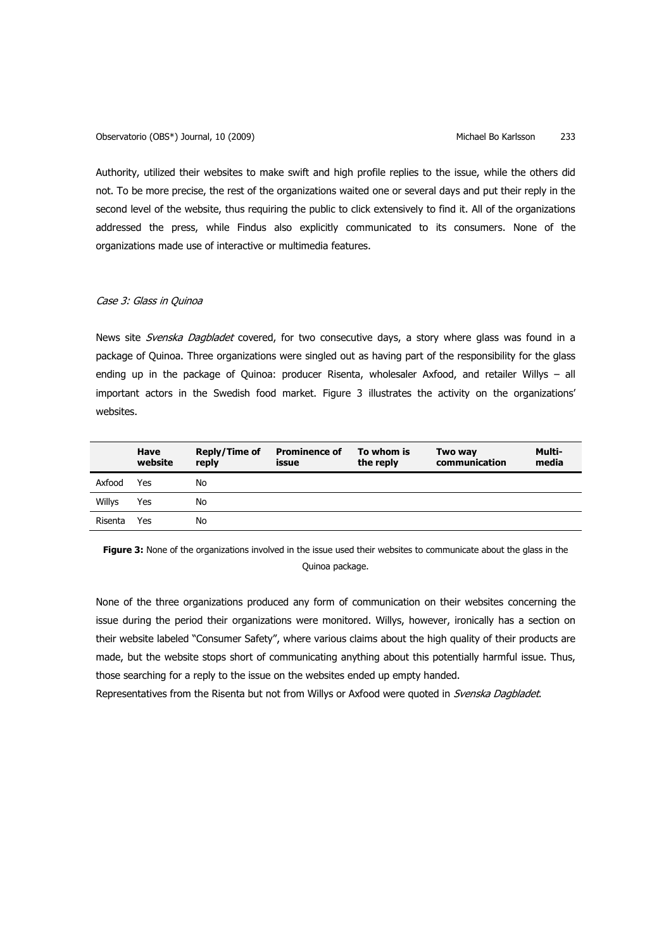Observatorio (OBS\*) Journal, 10 (2009) Michael Bo Karlsson 233

Authority, utilized their websites to make swift and high profile replies to the issue, while the others did not. To be more precise, the rest of the organizations waited one or several days and put their reply in the second level of the website, thus requiring the public to click extensively to find it. All of the organizations addressed the press, while Findus also explicitly communicated to its consumers. None of the organizations made use of interactive or multimedia features.

# Case 3: Glass in Quinoa

News site Svenska Dagbladet covered, for two consecutive days, a story where glass was found in a package of Quinoa. Three organizations were singled out as having part of the responsibility for the glass ending up in the package of Quinoa: producer Risenta, wholesaler Axfood, and retailer Willys – all important actors in the Swedish food market. Figure 3 illustrates the activity on the organizations' websites.

|         | Have<br>website | Reply/Time of<br>reply | <b>Prominence of</b><br>issue | To whom is<br>the reply | Two way<br>communication | Multi-<br>media |
|---------|-----------------|------------------------|-------------------------------|-------------------------|--------------------------|-----------------|
| Axfood  | Yes             | No                     |                               |                         |                          |                 |
| Willys  | Yes             | No                     |                               |                         |                          |                 |
| Risenta | Yes             | No                     |                               |                         |                          |                 |

**Figure 3:** None of the organizations involved in the issue used their websites to communicate about the glass in the Quinoa package.

None of the three organizations produced any form of communication on their websites concerning the issue during the period their organizations were monitored. Willys, however, ironically has a section on their website labeled "Consumer Safety", where various claims about the high quality of their products are made, but the website stops short of communicating anything about this potentially harmful issue. Thus, those searching for a reply to the issue on the websites ended up empty handed.

Representatives from the Risenta but not from Willys or Axfood were quoted in Svenska Dagbladet.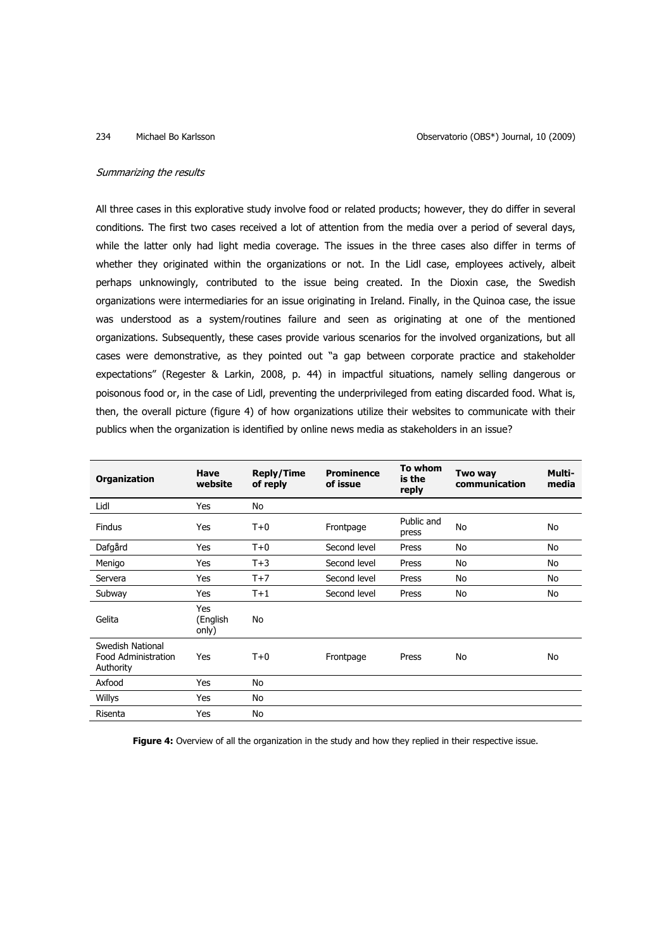### Summarizing the results

All three cases in this explorative study involve food or related products; however, they do differ in several conditions. The first two cases received a lot of attention from the media over a period of several days, while the latter only had light media coverage. The issues in the three cases also differ in terms of whether they originated within the organizations or not. In the Lidl case, employees actively, albeit perhaps unknowingly, contributed to the issue being created. In the Dioxin case, the Swedish organizations were intermediaries for an issue originating in Ireland. Finally, in the Quinoa case, the issue was understood as a system/routines failure and seen as originating at one of the mentioned organizations. Subsequently, these cases provide various scenarios for the involved organizations, but all cases were demonstrative, as they pointed out "a gap between corporate practice and stakeholder expectations" (Regester & Larkin, 2008, p. 44) in impactful situations, namely selling dangerous or poisonous food or, in the case of Lidl, preventing the underprivileged from eating discarded food. What is, then, the overall picture (figure 4) of how organizations utilize their websites to communicate with their publics when the organization is identified by online news media as stakeholders in an issue?

| <b>Organization</b>                                  | Have<br>website          | <b>Reply/Time</b><br>of reply | <b>Prominence</b><br>of issue | To whom<br>is the<br>reply | Two way<br>communication | Multi-<br>media |
|------------------------------------------------------|--------------------------|-------------------------------|-------------------------------|----------------------------|--------------------------|-----------------|
| Lidl                                                 | Yes                      | No                            |                               |                            |                          |                 |
| Findus                                               | Yes                      | $T+0$                         | Frontpage                     | Public and<br>press        | No                       | No              |
| Dafgård                                              | Yes                      | $T+0$                         | Second level                  | Press                      | No                       | No              |
| Menigo                                               | Yes                      | $T+3$                         | Second level                  | Press                      | No                       | No              |
| Servera                                              | Yes                      | $T+7$                         | Second level                  | Press                      | No                       | No              |
| Subway                                               | Yes                      | $T+1$                         | Second level                  | Press                      | No                       | No              |
| Gelita                                               | Yes<br>(English<br>only) | No                            |                               |                            |                          |                 |
| Swedish National<br>Food Administration<br>Authority | Yes                      | $T+0$                         | Frontpage                     | Press                      | No                       | No              |
| Axfood                                               | Yes                      | No                            |                               |                            |                          |                 |
| Willys                                               | Yes                      | No                            |                               |                            |                          |                 |
| Risenta                                              | Yes                      | No                            |                               |                            |                          |                 |

Figure 4: Overview of all the organization in the study and how they replied in their respective issue.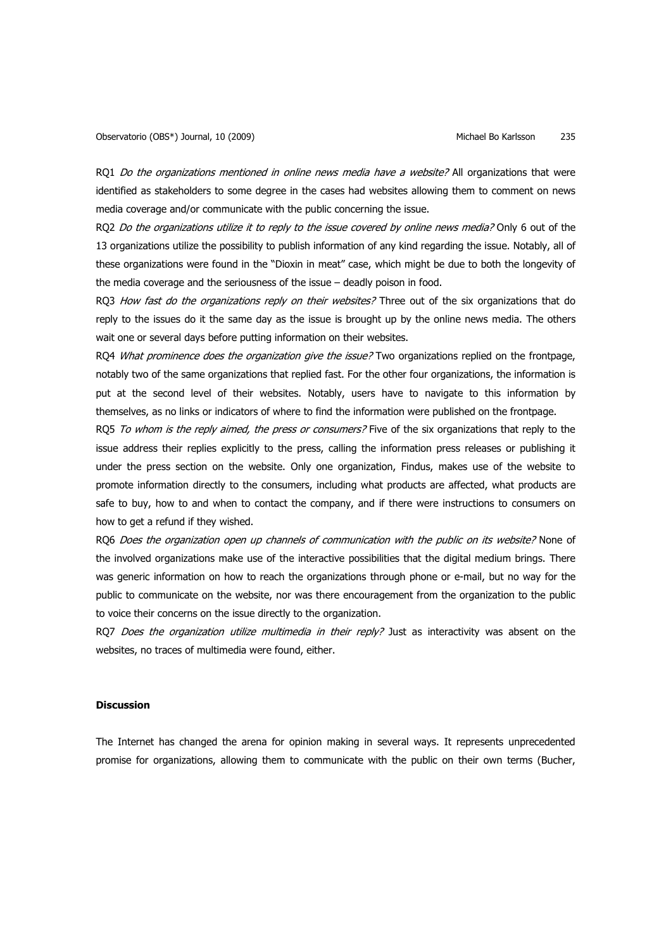RQ1 Do the organizations mentioned in online news media have a website? All organizations that were identified as stakeholders to some degree in the cases had websites allowing them to comment on news media coverage and/or communicate with the public concerning the issue.

RO2 Do the organizations utilize it to reply to the issue covered by online news media? Only 6 out of the 13 organizations utilize the possibility to publish information of any kind regarding the issue. Notably, all of these organizations were found in the "Dioxin in meat" case, which might be due to both the longevity of the media coverage and the seriousness of the issue – deadly poison in food.

RQ3 How fast do the organizations reply on their websites? Three out of the six organizations that do reply to the issues do it the same day as the issue is brought up by the online news media. The others wait one or several days before putting information on their websites.

RO4 What prominence does the organization give the issue? Two organizations replied on the frontpage, notably two of the same organizations that replied fast. For the other four organizations, the information is put at the second level of their websites. Notably, users have to navigate to this information by themselves, as no links or indicators of where to find the information were published on the frontpage.

RO5 To whom is the reply aimed, the press or consumers? Five of the six organizations that reply to the issue address their replies explicitly to the press, calling the information press releases or publishing it under the press section on the website. Only one organization, Findus, makes use of the website to promote information directly to the consumers, including what products are affected, what products are safe to buy, how to and when to contact the company, and if there were instructions to consumers on how to get a refund if they wished.

RQ6 Does the organization open up channels of communication with the public on its website? None of the involved organizations make use of the interactive possibilities that the digital medium brings. There was generic information on how to reach the organizations through phone or e-mail, but no way for the public to communicate on the website, nor was there encouragement from the organization to the public to voice their concerns on the issue directly to the organization.

RQ7 Does the organization utilize multimedia in their reply? Just as interactivity was absent on the websites, no traces of multimedia were found, either.

### **Discussion**

The Internet has changed the arena for opinion making in several ways. It represents unprecedented promise for organizations, allowing them to communicate with the public on their own terms (Bucher,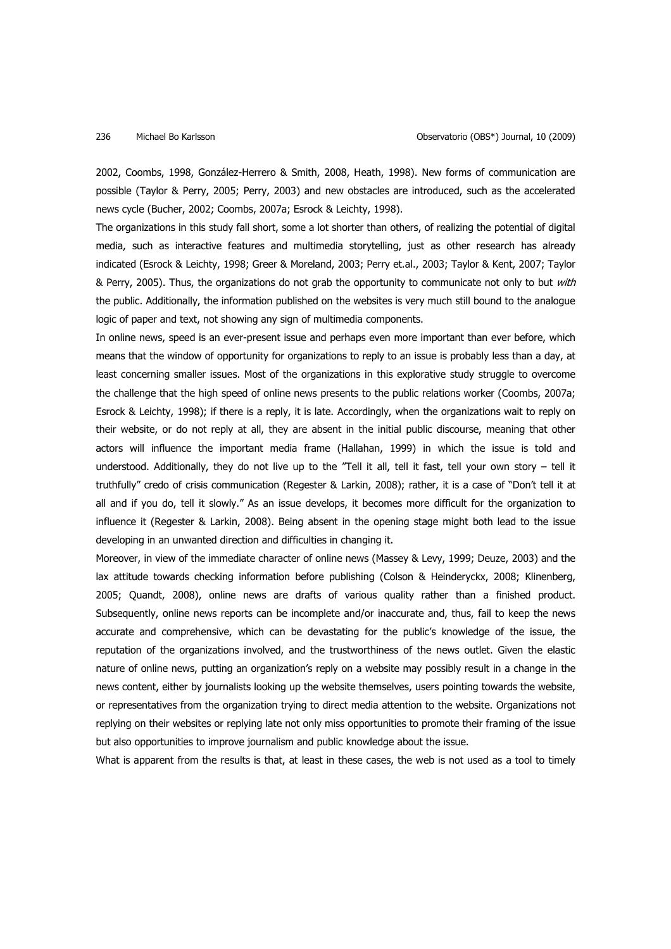2002, Coombs, 1998, González-Herrero & Smith, 2008, Heath, 1998). New forms of communication are possible (Taylor & Perry, 2005; Perry, 2003) and new obstacles are introduced, such as the accelerated news cycle (Bucher, 2002; Coombs, 2007a; Esrock & Leichty, 1998).

The organizations in this study fall short, some a lot shorter than others, of realizing the potential of digital media, such as interactive features and multimedia storytelling, just as other research has already indicated (Esrock & Leichty, 1998; Greer & Moreland, 2003; Perry et.al., 2003; Taylor & Kent, 2007; Taylor & Perry, 2005). Thus, the organizations do not grab the opportunity to communicate not only to but with the public. Additionally, the information published on the websites is very much still bound to the analogue logic of paper and text, not showing any sign of multimedia components.

In online news, speed is an ever-present issue and perhaps even more important than ever before, which means that the window of opportunity for organizations to reply to an issue is probably less than a day, at least concerning smaller issues. Most of the organizations in this explorative study struggle to overcome the challenge that the high speed of online news presents to the public relations worker (Coombs, 2007a; Esrock & Leichty, 1998); if there is a reply, it is late. Accordingly, when the organizations wait to reply on their website, or do not reply at all, they are absent in the initial public discourse, meaning that other actors will influence the important media frame (Hallahan, 1999) in which the issue is told and understood. Additionally, they do not live up to the "Tell it all, tell it fast, tell your own story – tell it truthfully" credo of crisis communication (Regester & Larkin, 2008); rather, it is a case of "Don't tell it at all and if you do, tell it slowly." As an issue develops, it becomes more difficult for the organization to influence it (Regester & Larkin, 2008). Being absent in the opening stage might both lead to the issue developing in an unwanted direction and difficulties in changing it.

Moreover, in view of the immediate character of online news (Massey & Levy, 1999; Deuze, 2003) and the lax attitude towards checking information before publishing (Colson & Heinderyckx, 2008; Klinenberg, 2005; Quandt, 2008), online news are drafts of various quality rather than a finished product. Subsequently, online news reports can be incomplete and/or inaccurate and, thus, fail to keep the news accurate and comprehensive, which can be devastating for the public's knowledge of the issue, the reputation of the organizations involved, and the trustworthiness of the news outlet. Given the elastic nature of online news, putting an organization's reply on a website may possibly result in a change in the news content, either by journalists looking up the website themselves, users pointing towards the website, or representatives from the organization trying to direct media attention to the website. Organizations not replying on their websites or replying late not only miss opportunities to promote their framing of the issue but also opportunities to improve journalism and public knowledge about the issue.

What is apparent from the results is that, at least in these cases, the web is not used as a tool to timely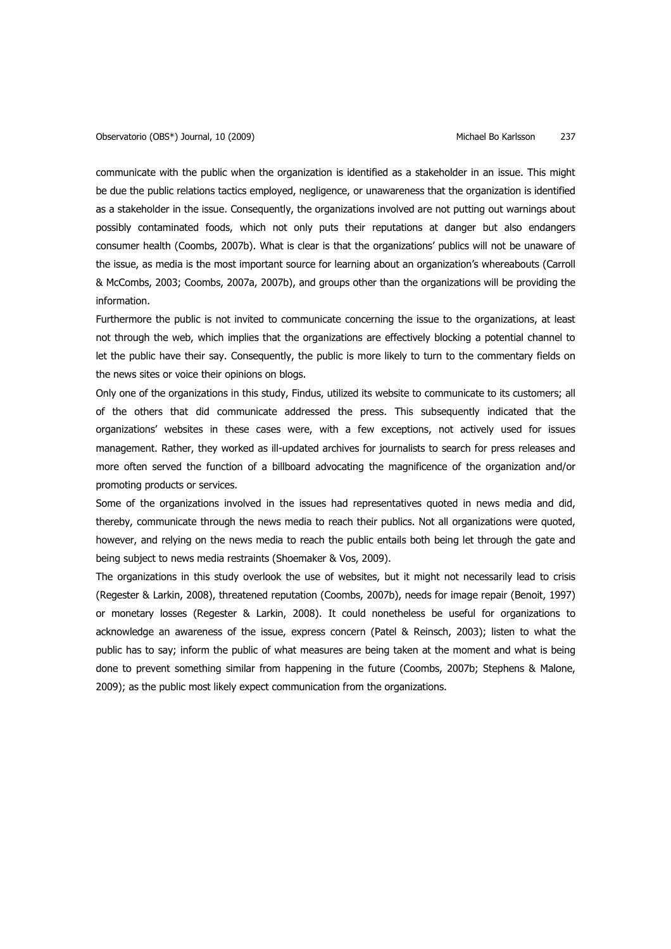communicate with the public when the organization is identified as a stakeholder in an issue. This might be due the public relations tactics employed, negligence, or unawareness that the organization is identified as a stakeholder in the issue. Consequently, the organizations involved are not putting out warnings about possibly contaminated foods, which not only puts their reputations at danger but also endangers consumer health (Coombs, 2007b). What is clear is that the organizations' publics will not be unaware of the issue, as media is the most important source for learning about an organization's whereabouts (Carroll & McCombs, 2003; Coombs, 2007a, 2007b), and groups other than the organizations will be providing the information.

Furthermore the public is not invited to communicate concerning the issue to the organizations, at least not through the web, which implies that the organizations are effectively blocking a potential channel to let the public have their say. Consequently, the public is more likely to turn to the commentary fields on the news sites or voice their opinions on blogs.

Only one of the organizations in this study, Findus, utilized its website to communicate to its customers; all of the others that did communicate addressed the press. This subsequently indicated that the organizations' websites in these cases were, with a few exceptions, not actively used for issues management. Rather, they worked as ill-updated archives for journalists to search for press releases and more often served the function of a billboard advocating the magnificence of the organization and/or promoting products or services.

Some of the organizations involved in the issues had representatives quoted in news media and did, thereby, communicate through the news media to reach their publics. Not all organizations were quoted, however, and relying on the news media to reach the public entails both being let through the gate and being subject to news media restraints (Shoemaker & Vos, 2009).

The organizations in this study overlook the use of websites, but it might not necessarily lead to crisis (Regester & Larkin, 2008), threatened reputation (Coombs, 2007b), needs for image repair (Benoit, 1997) or monetary losses (Regester & Larkin, 2008). It could nonetheless be useful for organizations to acknowledge an awareness of the issue, express concern (Patel & Reinsch, 2003); listen to what the public has to say; inform the public of what measures are being taken at the moment and what is being done to prevent something similar from happening in the future (Coombs, 2007b; Stephens & Malone, 2009); as the public most likely expect communication from the organizations.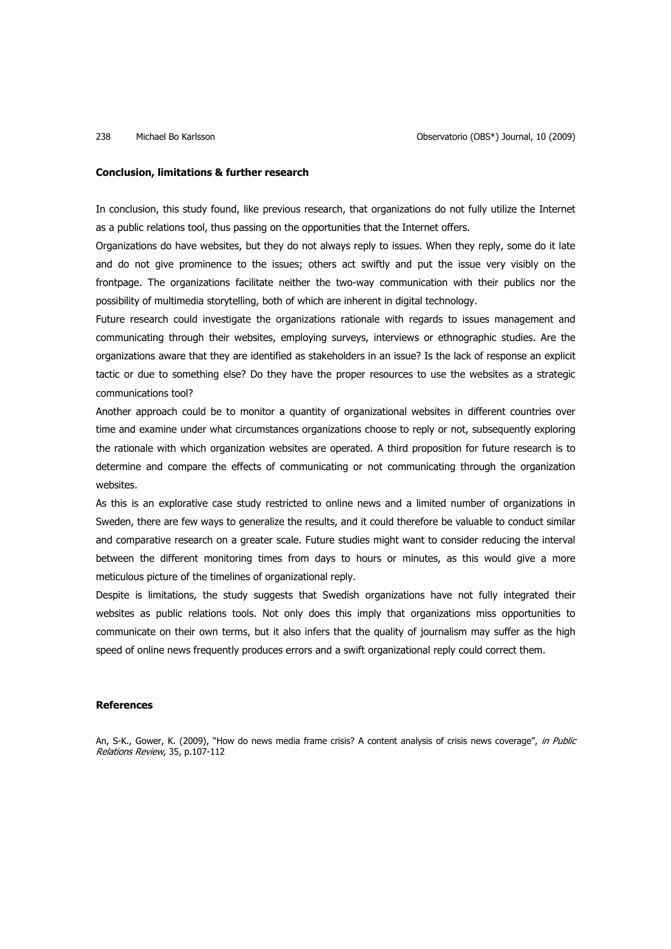### **Conclusion, limitations & further research**

In conclusion, this study found, like previous research, that organizations do not fully utilize the Internet as a public relations tool, thus passing on the opportunities that the Internet offers.

Organizations do have websites, but they do not always reply to issues. When they reply, some do it late and do not give prominence to the issues; others act swiftly and put the issue very visibly on the frontpage. The organizations facilitate neither the two-way communication with their publics nor the possibility of multimedia storytelling, both of which are inherent in digital technology.

Future research could investigate the organizations rationale with regards to issues management and communicating through their websites, employing surveys, interviews or ethnographic studies. Are the organizations aware that they are identified as stakeholders in an issue? Is the lack of response an explicit tactic or due to something else? Do they have the proper resources to use the websites as a strategic communications tool?

Another approach could be to monitor a quantity of organizational websites in different countries over time and examine under what circumstances organizations choose to reply or not, subsequently exploring the rationale with which organization websites are operated. A third proposition for future research is to determine and compare the effects of communicating or not communicating through the organization websites.

As this is an explorative case study restricted to online news and a limited number of organizations in Sweden, there are few ways to generalize the results, and it could therefore be valuable to conduct similar and comparative research on a greater scale. Future studies might want to consider reducing the interval between the different monitoring times from days to hours or minutes, as this would give a more meticulous picture of the timelines of organizational reply.

Despite is limitations, the study suggests that Swedish organizations have not fully integrated their websites as public relations tools. Not only does this imply that organizations miss opportunities to communicate on their own terms, but it also infers that the quality of journalism may suffer as the high speed of online news frequently produces errors and a swift organizational reply could correct them.

### **References**

An, S-K., Gower, K. (2009), "How do news media frame crisis? A content analysis of crisis news coverage", in Public Relations Review, 35, p.107-112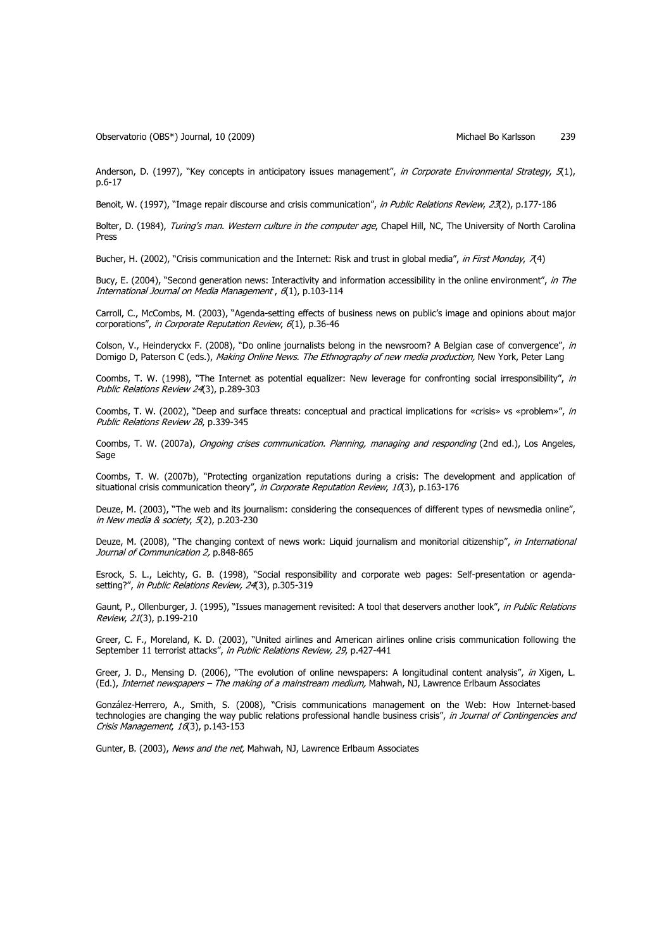Observatorio (OBS\*) Journal, 10 (2009) Channel Bo Karlsson 239

Anderson, D. (1997), "Key concepts in anticipatory issues management", in Corporate Environmental Strategy, 5(1), p.6-17

Benoit, W. (1997), "Image repair discourse and crisis communication", in Public Relations Review, 23(2), p.177-186

Bolter, D. (1984), Turing's man. Western culture in the computer age, Chapel Hill, NC, The University of North Carolina Press

Bucher, H. (2002), "Crisis communication and the Internet: Risk and trust in global media", in First Monday, 7(4)

Bucy, E. (2004), "Second generation news: Interactivity and information accessibility in the online environment", in The International Journal on Media Management , 6(1), p.103-114

Carroll, C., McCombs, M. (2003), "Agenda-setting effects of business news on public's image and opinions about major corporations", in Corporate Reputation Review, 6(1), p.36-46

Colson, V., Heinderyckx F. (2008), "Do online journalists belong in the newsroom? A Belgian case of convergence", in Domigo D, Paterson C (eds.), Making Online News. The Ethnography of new media production, New York, Peter Lang

Coombs, T. W. (1998), "The Internet as potential equalizer: New leverage for confronting social irresponsibility", in Public Relations Review 24(3), p.289-303

Coombs, T. W. (2002), "Deep and surface threats: conceptual and practical implications for «crisis» vs «problem»", in Public Relations Review 28, p.339-345

Coombs, T. W. (2007a), Ongoing crises communication. Planning, managing and responding (2nd ed.), Los Angeles, Sage

Coombs, T. W. (2007b), "Protecting organization reputations during a crisis: The development and application of situational crisis communication theory", in Corporate Reputation Review, 10(3), p.163-176

Deuze, M. (2003), "The web and its journalism: considering the consequences of different types of newsmedia online", in New media & society,  $5(2)$ , p.203-230

Deuze, M. (2008), "The changing context of news work: Liquid journalism and monitorial citizenship", in International Journal of Communication 2, p.848-865

Esrock, S. L., Leichty, G. B. (1998), "Social responsibility and corporate web pages: Self-presentation or agendasetting?", in Public Relations Review, 24(3), p.305-319

Gaunt, P., Ollenburger, J. (1995), "Issues management revisited: A tool that deservers another look", in Public Relations Review, 21(3), p.199-210

Greer, C. F., Moreland, K. D. (2003), "United airlines and American airlines online crisis communication following the September 11 terrorist attacks", in Public Relations Review, 29, p.427-441

Greer, J. D., Mensing D. (2006), "The evolution of online newspapers: A longitudinal content analysis", in Xigen, L. (Ed.), Internet newspapers - The making of a mainstream medium, Mahwah, NJ, Lawrence Erlbaum Associates

González-Herrero, A., Smith, S. (2008), "Crisis communications management on the Web: How Internet-based technologies are changing the way public relations professional handle business crisis", in Journal of Contingencies and Crisis Management, 16(3), p.143-153

Gunter, B. (2003), News and the net, Mahwah, NJ, Lawrence Erlbaum Associates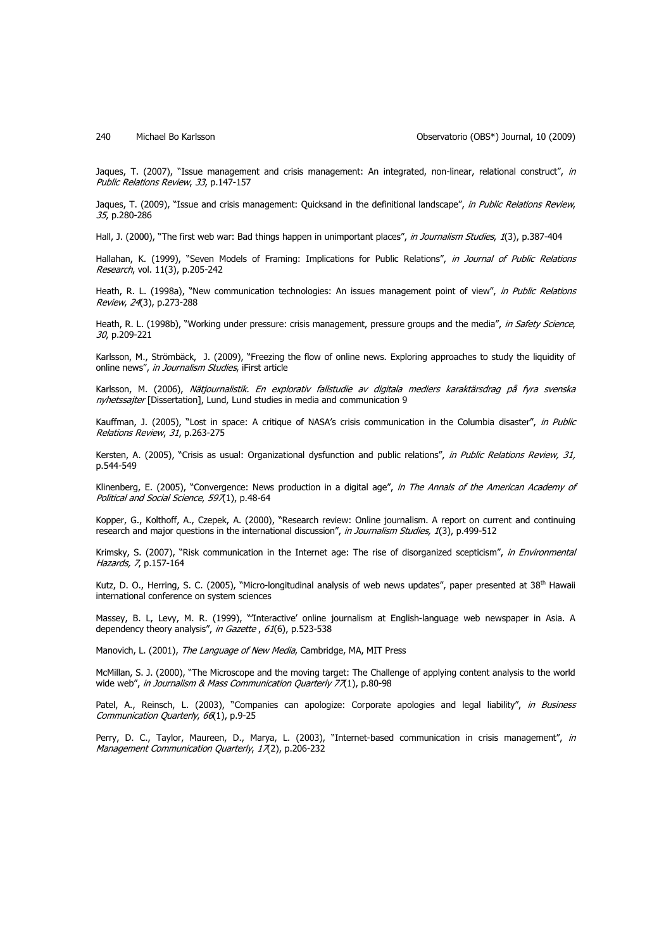Jaques, T. (2007), "Issue management and crisis management: An integrated, non-linear, relational construct", in Public Relations Review, 33, p.147-157

Jaques, T. (2009), "Issue and crisis management: Quicksand in the definitional landscape", in Public Relations Review, 35, p.280-286

Hall, J. (2000), "The first web war: Bad things happen in unimportant places", in Journalism Studies, 1(3), p.387-404

Hallahan, K. (1999), "Seven Models of Framing: Implications for Public Relations", in Journal of Public Relations Research, vol. 11(3), p.205-242

Heath, R. L. (1998a), "New communication technologies: An issues management point of view", in Public Relations Review, 24(3), p.273-288

Heath, R. L. (1998b), "Working under pressure: crisis management, pressure groups and the media", in Safety Science, 30, p.209-221

Karlsson, M., Strömbäck, J. (2009), "Freezing the flow of online news. Exploring approaches to study the liquidity of online news", in Journalism Studies, iFirst article

Karlsson, M. (2006), Nätjournalistik. En explorativ fallstudie av digitala mediers karaktärsdrag på fyra svenska nyhetssajter [Dissertation], Lund, Lund studies in media and communication 9

Kauffman, J. (2005), "Lost in space: A critique of NASA's crisis communication in the Columbia disaster", in Public Relations Review, 31, p.263-275

Kersten, A. (2005), "Crisis as usual: Organizational dysfunction and public relations", in Public Relations Review, 31, p.544-549

Klinenberg, E. (2005), "Convergence: News production in a digital age", in The Annals of the American Academy of Political and Social Science, 597(1), p.48-64

Kopper, G., Kolthoff, A., Czepek, A. (2000), "Research review: Online journalism. A report on current and continuing research and major questions in the international discussion", in Journalism Studies, 1(3), p.499-512

Krimsky, S. (2007), "Risk communication in the Internet age: The rise of disorganized scepticism", in Environmental Hazards, 7, p.157-164

Kutz, D. O., Herring, S. C. (2005), "Micro-longitudinal analysis of web news updates", paper presented at 38<sup>th</sup> Hawaii international conference on system sciences

Massey, B. L, Levy, M. R. (1999), "'Interactive' online journalism at English-language web newspaper in Asia. A dependency theory analysis", in Gazette, 61(6), p.523-538

Manovich, L. (2001), The Language of New Media, Cambridge, MA, MIT Press

McMillan, S. J. (2000), "The Microscope and the moving target: The Challenge of applying content analysis to the world wide web", in Journalism & Mass Communication Quarterly 77(1), p.80-98

Patel, A., Reinsch, L. (2003), "Companies can apologize: Corporate apologies and legal liability", in Business Communication Quarterly, 66(1), p.9-25

Perry, D. C., Taylor, Maureen, D., Marya, L. (2003), "Internet-based communication in crisis management", in Management Communication Quarterly, 17(2), p.206-232